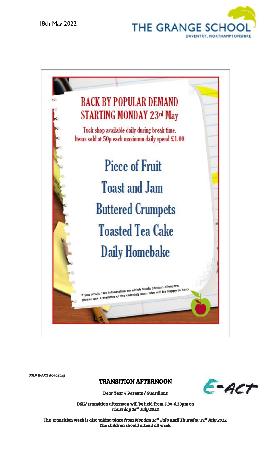



DSLV E-ACT Academy

#### TRANSITION AFTERNOON



Dear Year 6 Parents / Guardians

DSLV transition afternoon will be held from 5.30-6.30pm on Thursday 14<sup>th</sup> July 2022.

The transition week is also taking place from *Monday 18<sup>th</sup> July until Thursday 21<sup>st</sup> July 2022*. The children should attend all week.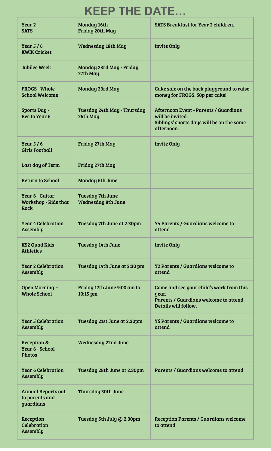# **KEEP THE DATE…**

| Year 2<br><b>SATS</b>                                    | Monday 16th -<br>Friday 20th May                | SATS Breakfast for Year 2 children.                                                                                  |
|----------------------------------------------------------|-------------------------------------------------|----------------------------------------------------------------------------------------------------------------------|
| Year $5/6$<br><b>KWIK Cricket</b>                        | Wednesday 18th May                              | <b>Invite Only</b>                                                                                                   |
| Jubilee Week                                             | Monday 23rd May - Friday<br>27th May            |                                                                                                                      |
| <b>FROGS - Whole</b><br><b>School Welcome</b>            | Monday 23rd May                                 | Cake sale on the back playground to raise<br>money for FROGS. 50p per cake!                                          |
| Sports Day -<br><b>Rec to Year 6</b>                     | Tuesday 24th May - Thursday<br>26th May         | Afternoon Event - Parents / Guardians<br>will be invited.<br>Siblings' sports days will be on the same<br>afternoon. |
| Year $5/6$<br><b>Girls Football</b>                      | Friday 27th May                                 | <b>Invite Only</b>                                                                                                   |
| Last day of Term                                         | Friday 27th May                                 |                                                                                                                      |
| <b>Return to School</b>                                  | Monday 6th June                                 |                                                                                                                      |
| Year 6 - Guitar<br><b>Workshop - Kids that</b><br>Rock   | Tuesday 7th June -<br><b>Wednesday 8th June</b> |                                                                                                                      |
| <b>Year 4 Celebration</b><br>Assembly                    | Tuesday 7th June at 2.30pm                      | <b>Y4 Parents / Guardians welcome to</b><br>attend                                                                   |
| KS2 Quad Kids<br><b>Athletics</b>                        | Tuesday 14th June                               | <b>Invite Only</b>                                                                                                   |
| <b>Year 2 Celebration</b><br>Assembly                    | Tuesday 14th June at 2:30 pm                    | <b>Y2 Parents / Guardians welcome to</b><br>attend                                                                   |
| Open Morning -<br><b>Whole School</b>                    | Friday 17th June 9:00 am to<br>10:15 pm         | Come and see your child's work from this<br>year.<br>Parents / Guardians welcome to attend.<br>Details will follow.  |
| <b>Year 5 Celebration</b><br>Assembly                    | Tuesday 21st June at 2.30pm                     | <b>Y5 Parents / Guardians welcome to</b><br>attend                                                                   |
| Reception &<br>Year 6 - School<br><b>Photos</b>          | Wednesday 22nd June                             |                                                                                                                      |
| <b>Year 6 Celebration</b><br>Assembly                    | Tuesday 28th June at 2.30pm                     | Parents / Guardians welcome to attend                                                                                |
| <b>Annual Reports out</b><br>to parents and<br>guardians | Thursday 30th June                              |                                                                                                                      |
| Reception<br>Celebration<br>Assembly                     | Tuesday 5th July @ 2.30pm                       | <b>Reception Parents / Guardians welcome</b><br>to attend                                                            |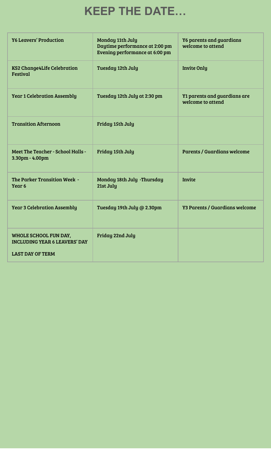# **KEEP THE DATE…**

| <b>Y6 Leavers' Production</b>                                                            | Monday 11th July<br>Daytime performance at 2:00 pm<br>Evening performance at 6:00 pm | <b>Y6 parents and guardians</b><br>welcome to attend |
|------------------------------------------------------------------------------------------|--------------------------------------------------------------------------------------|------------------------------------------------------|
| <b>KS2 Change4Life Celebration</b><br>Festival                                           | Tuesday 12th July                                                                    | <b>Invite Only</b>                                   |
| <b>Year 1 Celebration Assembly</b>                                                       | Tuesday 12th July at 2:30 pm                                                         | Y1 parents and guardians are<br>welcome to attend    |
| <b>Transition Afternoon</b>                                                              | Friday 15th July                                                                     |                                                      |
| Meet The Teacher - School Halls -<br>3.30pm - 4.00pm                                     | Friday 15th July                                                                     | <b>Parents / Guardians welcome</b>                   |
| The Parker Transition Week -<br>Year <sub>6</sub>                                        | Monday 18th July -Thursday<br>21st July                                              | Invite                                               |
| <b>Year 3 Celebration Assembly</b>                                                       | Tuesday 19th July @ 2.30pm                                                           | <b>Y3 Parents / Guardians welcome</b>                |
| WHOLE SCHOOL FUN DAY,<br><b>INCLUDING YEAR 6 LEAVERS' DAY</b><br><b>LAST DAY OF TERM</b> | Friday 22nd July                                                                     |                                                      |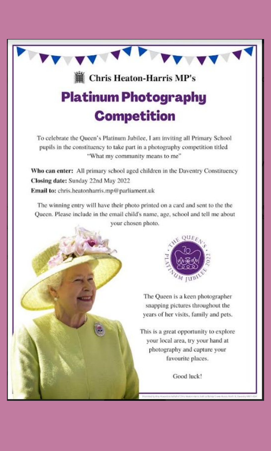

Closing date: Sunday 22nd May 2022 Email to: chris.heatonharris.mp@parliament.uk

The winning entry will have their photo printed on a card and sent to the the Queen. Please include in the email child's name, age, school and tell me about your chosen photo.



The Queen is a keen photographer snapping pictures throughout the years of her visits, family and pets.

This is a great opportunity to explore your local area, try your hand at photography and capture your favourite places.

Good luck!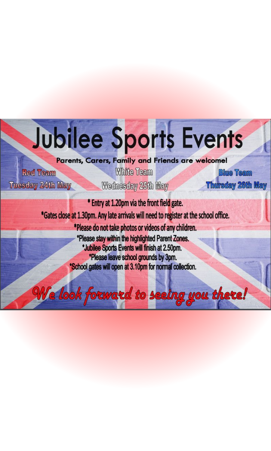

Parents, Carers, Family and Friends are welcome!

**Red Team Tuesday 24th May** 

**White Team** Wednesday 25th May

**Blue Team Thursday 26th May** 

\* Entry at 1.20pm via the front field gate. \*Gates close at 1.30pm. Any late arrivals will need to register at the school office. \*Please do not take photos or videos of any children. \*Please stay within the highlighted Parent Zones. \*Jubilee Sports Events will finish at 2.50pm. \*Please leave school grounds by 3pm. \*School gates will open at 3.10pm for normal collection.

We look forward to seeing you there!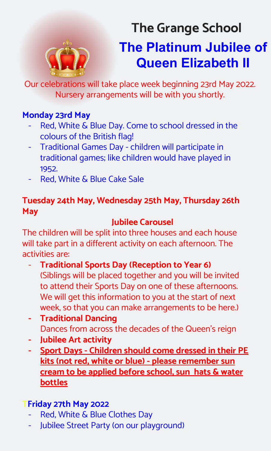

# **The Platinum Jubilee of Queen Elizabeth II The Grange School**

Our celebrations will take place week beginning 23rd May 2022. Nursery arrangements will be with you shortly.

### **Monday 23rd May**

- Red, White & Blue Day. Come to school dressed in the colours of the British flag!
- Traditional Games Day children will participate in traditional games; like children would have played in 1952.
- Red, White & Blue Cake Sale

# **Tuesday 24th May, Wednesday 25th May, Thursday 26th May**

# **Jubilee Carousel**

The children will be split into three houses and each house will take part in a different activity on each afternoon. The activities are:

- **Traditional Sports Day (Reception to Year 6)** (Siblings will be placed together and you will be invited to attend their Sports Day on one of these afternoons. We will get this information to you at the start of next week, so that you can make arrangements to be here.)
- **- Traditional Dancing** Dances from across the decades of the Queen's reign
- **- Jubilee Art activity**
- **- Sport Days Children should come dressed in their PE kits (not red, white or blue) - please remember sun cream to be applied before school, sun hats & water bottles**

# **TFriday 27th May 2022**

- Red, White & Blue Clothes Day
- Jubilee Street Party (on our playground)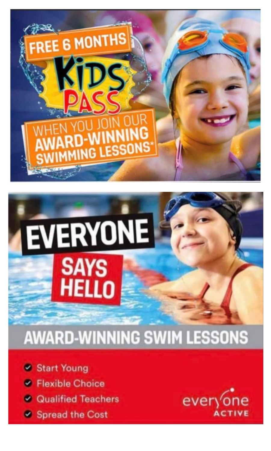

# EVERYONE **SAYS**<br>HELLO

# **AWARD-WINNING SWIM LESSONS**

**& Start Young** 

- **Elexible Choice**
- **& Qualified Teachers**
- **& Spread the Cost**

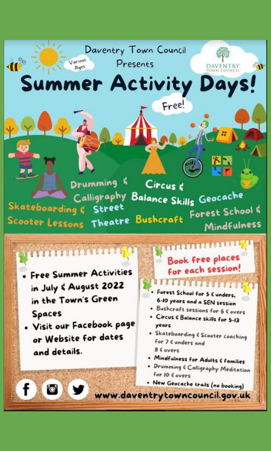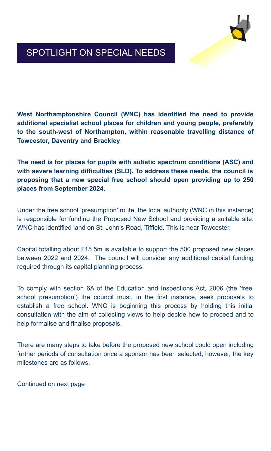

# SPOTLIGHT ON SPECIAL NEEDS

**West Northamptonshire Council (WNC) has identified the need to provide additional specialist school places for children and young people, preferably to the south-west of Northampton, within reasonable travelling distance of Towcester, Daventry and Brackley**.

**The need is for places for pupils with autistic spectrum conditions (ASC) and with severe learning difficulties (SLD). To address these needs, the council is proposing that a new special free school should open providing up to 250 places from September 2024.**

Under the free school 'presumption' route, the local authority (WNC in this instance) is responsible for funding the Proposed New School and providing a suitable site. WNC has identified land on St. John's Road, Tiffield. This is near Towcester.

Capital totalling about £15.5m is available to support the 500 proposed new places between 2022 and 2024. The council will consider any additional capital funding required through its capital planning process.

To comply with section 6A of the Education and Inspections Act, 2006 (the 'free school presumption') the council must, in the first instance, seek proposals to establish a free school. WNC is beginning this process by holding this initial consultation with the aim of collecting views to help decide how to proceed and to help formalise and finalise proposals.

There are many steps to take before the proposed new school could open including further periods of consultation once a sponsor has been selected; however, the key milestones are as follows.

Continued on next page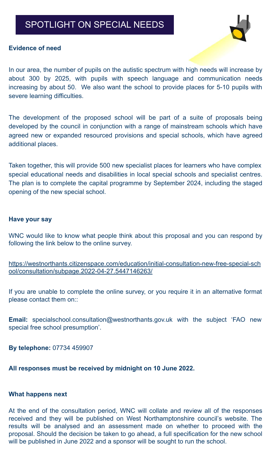## SPOTLIGHT ON SPECIAL NEEDS



#### **Evidence of need**

In our area, the number of pupils on the autistic spectrum with high needs will increase by about 300 by 2025, with pupils with speech language and communication needs increasing by about 50. We also want the school to provide places for 5-10 pupils with severe learning difficulties.

The development of the proposed school will be part of a suite of proposals being developed by the council in conjunction with a range of mainstream schools which have agreed new or expanded resourced provisions and special schools, which have agreed additional places.

Taken together, this will provide 500 new specialist places for learners who have complex special educational needs and disabilities in local special schools and specialist centres. The plan is to complete the capital programme by September 2024, including the staged opening of the new special school.

#### **Have your say**

WNC would like to know what people think about this proposal and you can respond by following the link below to the online survey.

[https://westnorthants.citizenspace.com/education/initial-consultation-new-free-special-sch](https://westnorthants.citizenspace.com/education/initial-consultation-new-free-special-school/consultation/subpage.2022-04-27.5447146263/) [ool/consultation/subpage.2022-04-27.5447146263/](https://westnorthants.citizenspace.com/education/initial-consultation-new-free-special-school/consultation/subpage.2022-04-27.5447146263/)

If you are unable to complete the online survey, or you require it in an alternative format please contact them on::

**Email:** specialschool.consultation@westnorthants.gov.uk with the subject 'FAO new special free school presumption'.

**By telephone:** 07734 459907

**All responses must be received by midnight on 10 June 2022.**

#### **What happens next**

At the end of the consultation period, WNC will collate and review all of the responses received and they will be published on West Northamptonshire council's website. The results will be analysed and an assessment made on whether to proceed with the proposal. Should the decision be taken to go ahead, a full specification for the new school will be published in June 2022 and a sponsor will be sought to run the school.